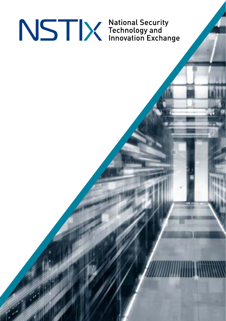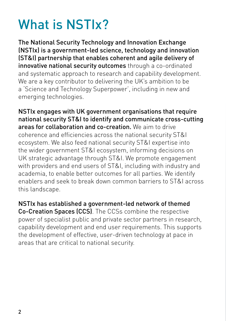## What is NSTIx?

The National Security Technology and Innovation Exchange (NSTIx) is a government-led science, technology and innovation (ST&I) partnership that enables coherent and agile delivery of innovative national security outcomes through a co-ordinated and systematic approach to research and capability development. We are a key contributor to delivering the UK's ambition to be a 'Science and Technology Superpower', including in new and emerging technologies.

NSTIx engages with UK government organisations that require national security ST&I to identify and communicate cross-cutting areas for collaboration and co-creation. We aim to drive coherence and efficiencies across the national security ST&I ecosystem. We also feed national security ST&I expertise into the wider government ST&I ecosystem, informing decisions on UK strategic advantage through ST&I. We promote engagement with providers and end users of ST&I, including with industry and academia, to enable better outcomes for all parties. We identify enablers and seek to break down common barriers to ST&I across this landscape.

NSTIx has established a government-led network of themed Co-Creation Spaces (CCS). The CCSs combine the respective power of specialist public and private sector partners in research, capability development and end user requirements. This supports the development of effective, user-driven technology at pace in areas that are critical to national security.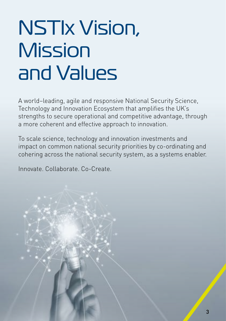# NSTIx Vision, **Mission** and Values

A world–leading, agile and responsive National Security Science, Technology and Innovation Ecosystem that amplifies the UK's strengths to secure operational and competitive advantage, through a more coherent and effective approach to innovation.

To scale science, technology and innovation investments and impact on common national security priorities by co-ordinating and cohering across the national security system, as a systems enabler.

Innovate. Collaborate. Co-Create.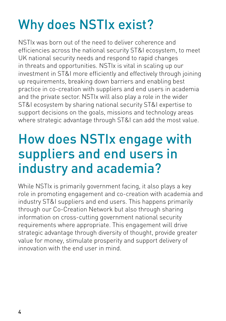## Why does NSTIx exist?

NSTIx was born out of the need to deliver coherence and efficiencies across the national security ST&I ecosystem, to meet UK national security needs and respond to rapid changes in threats and opportunities. NSTIx is vital in scaling up our investment in ST&I more efficiently and effectively through joining up requirements, breaking down barriers and enabling best practice in co-creation with suppliers and end users in academia and the private sector. NSTIx will also play a role in the wider ST&I ecosystem by sharing national security ST&I expertise to support decisions on the goals, missions and technology areas where strategic advantage through ST&I can add the most value.

## How does NSTIx engage with suppliers and end users in industry and academia?

While NSTIx is primarily government facing, it also plays a key role in promoting engagement and co-creation with academia and industry ST&I suppliers and end users. This happens primarily through our Co-Creation Network but also through sharing information on cross-cutting government national security requirements where appropriate. This engagement will drive strategic advantage through diversity of thought, provide greater value for money, stimulate prosperity and support delivery of innovation with the end user in mind.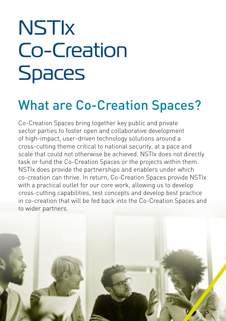# **NSTIX** Co-Creation Spaces

## What are Co-Creation Spaces?

Co-Creation Spaces bring together key public and private sector parties to foster open and collaborative development of high-impact, user-driven technology solutions around a cross-cutting theme critical to national security, at a pace and scale that could not otherwise be achieved. NSTIx does not directly task or fund the Co-Creation Spaces or the projects within them. NSTIx does provide the partnerships and enablers under which co-creation can thrive. In return, Co-Creation Spaces provide NSTIx with a practical outlet for our core work, allowing us to develop cross-cutting capabilities, test concepts and develop best practice in co-creation that will be fed back into the Co-Creation Spaces and to wider partners.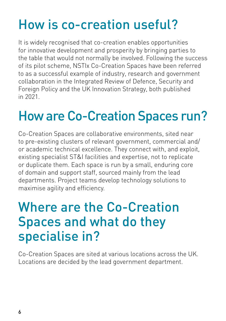## How is co-creation useful?

It is widely recognised that co-creation enables opportunities for innovative development and prosperity by bringing parties to the table that would not normally be involved. Following the success of its pilot scheme, NSTIx Co-Creation Spaces have been referred to as a successful example of industry, research and government collaboration in the Integrated Review of Defence, Security and Foreign Policy and the UK Innovation Strategy, both published in 2021.

## How are Co-Creation Spaces run?

Co-Creation Spaces are collaborative environments, sited near to pre-existing clusters of relevant government, commercial and/ or academic technical excellence. They connect with, and exploit, existing specialist ST&I facilities and expertise, not to replicate or duplicate them. Each space is run by a small, enduring core of domain and support staff, sourced mainly from the lead departments. Project teams develop technology solutions to maximise agility and efficiency.

### Where are the Co-Creation Spaces and what do they specialise in?

Co-Creation Spaces are sited at various locations across the UK. Locations are decided by the lead government department.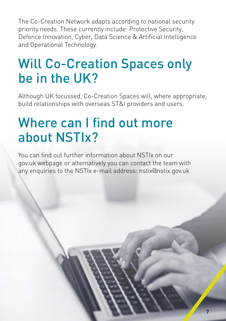The Co-Creation Network adapts according to national security priority needs. These currently include: Protective Security, Defence Innovation, Cyber, Data Science & Artificial Intelligence and Operational Technology.

### Will Co-Creation Spaces only be in the UK?

Although UK focussed, Co-Creation Spaces will, where appropriate, build relationships with overseas ST&I providers and users.

## Where can I find out more about NSTIx?

You can find out further information about NSTIx on our gov.uk webpage or alternatively you can contact the team with any enquiries to the NSTIx e-mail address: nstix@nstix.gov.uk